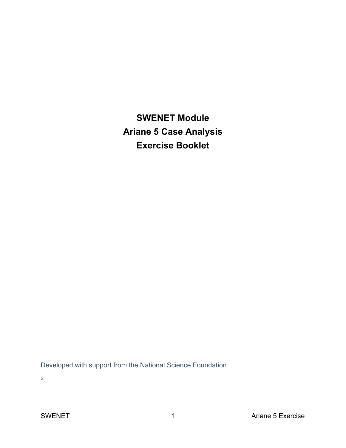**SWENET Module Ariane 5 Case Analysis Exercise Booklet**

Developed with support from the National Science Foundation

S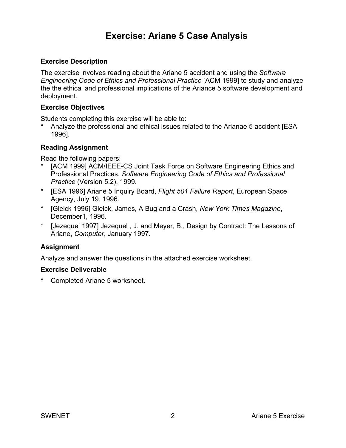# **Exercise: Ariane 5 Case Analysis**

### **Exercise Description**

The exercise involves reading about the Ariane 5 accident and using the *Software Engineering Code of Ethics and Professional Practice* [ACM 1999] to study and analyze the the ethical and professional implications of the Ariance 5 software development and deployment.

#### **Exercise Objectives**

Students completing this exercise will be able to:

Analyze the professional and ethical issues related to the Arianae 5 accident [ESA 1996].

#### **Reading Assignment**

Read the following papers:

- [ACM 1999] ACM/IEEE-CS Joint Task Force on Software Engineering Ethics and Professional Practices, *Software Engineering Code of Ethics and Professional Practice* (Version 5.2), 1999.
- \* [ESA 1996] Ariane 5 Inquiry Board, *Flight 501 Failure Report*, European Space Agency, July 19, 1996.
- \* [Gleick 1996] Gleick, James, A Bug and a Crash, *New York Times Magazine*, December1, 1996.
- \* [Jezequel 1997] Jezequel , J. and Meyer, B., Design by Contract: The Lessons of Ariane, *Computer*, January 1997.

#### **Assignment**

Analyze and answer the questions in the attached exercise worksheet.

#### **Exercise Deliverable**

**Completed Ariane 5 worksheet.**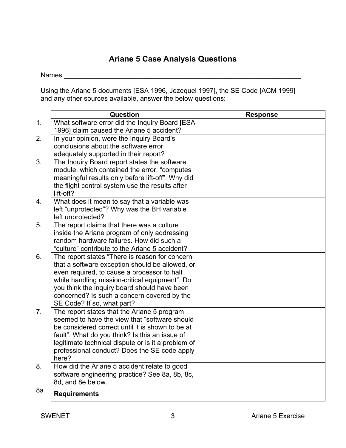## **Ariane 5 Case Analysis Questions**

Names **with a set of the set of the set of the set of the set of the set of the set of the set of the set of the set of the set of the set of the set of the set of the set of the set of the set of the set of the set of the** 

Using the Ariane 5 documents [ESA 1996, Jezequel 1997], the SE Code [ACM 1999] and any other sources available, answer the below questions:

|                | Question                                                                                                                                                                                                                                                                                                                        | <b>Response</b> |
|----------------|---------------------------------------------------------------------------------------------------------------------------------------------------------------------------------------------------------------------------------------------------------------------------------------------------------------------------------|-----------------|
| 1.             | What software error did the Inquiry Board [ESA<br>1996] claim caused the Ariane 5 accident?                                                                                                                                                                                                                                     |                 |
| 2.             | In your opinion, were the Inquiry Board's                                                                                                                                                                                                                                                                                       |                 |
|                | conclusions about the software error<br>adequately supported in their report?                                                                                                                                                                                                                                                   |                 |
| 3.             | The Inquiry Board report states the software<br>module, which contained the error, "computes<br>meaningful results only before lift-off". Why did<br>the flight control system use the results after<br>lift-off?                                                                                                               |                 |
| 4.             | What does it mean to say that a variable was<br>left "unprotected"? Why was the BH variable<br>left unprotected?                                                                                                                                                                                                                |                 |
| 5.             | The report claims that there was a culture<br>inside the Ariane program of only addressing<br>random hardware failures. How did such a<br>"culture" contribute to the Ariane 5 accident?                                                                                                                                        |                 |
| 6.             | The report states "There is reason for concern<br>that a software exception should be allowed, or<br>even required, to cause a processor to halt<br>while handling mission-critical equipment". Do<br>you think the inquiry board should have been<br>concerned? Is such a concern covered by the<br>SE Code? If so, what part? |                 |
| 7 <sub>1</sub> | The report states that the Ariane 5 program<br>seemed to have the view that "software should<br>be considered correct until it is shown to be at<br>fault". What do you think? Is this an issue of<br>legitimate technical dispute or is it a problem of<br>professional conduct? Does the SE code apply<br>here?               |                 |
| 8.             | How did the Ariane 5 accident relate to good<br>software engineering practice? See 8a, 8b, 8c,<br>8d, and 8e below.                                                                                                                                                                                                             |                 |
| 8a             | <b>Requirements</b>                                                                                                                                                                                                                                                                                                             |                 |